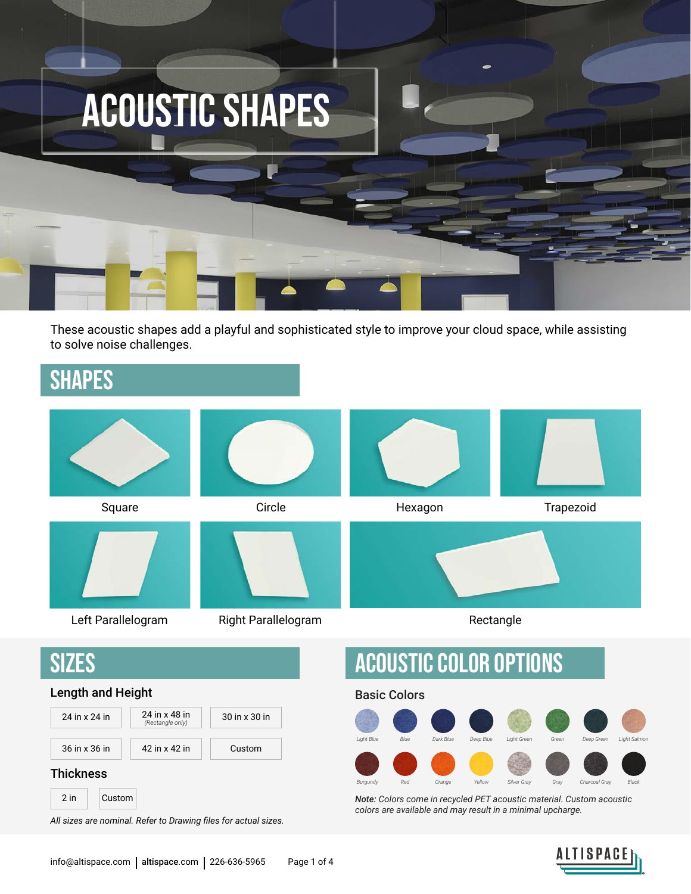

These acoustic shapes add a playful and sophisticated style to improve your cloud space, while assisting to solve noise challenges.

### SHAPES



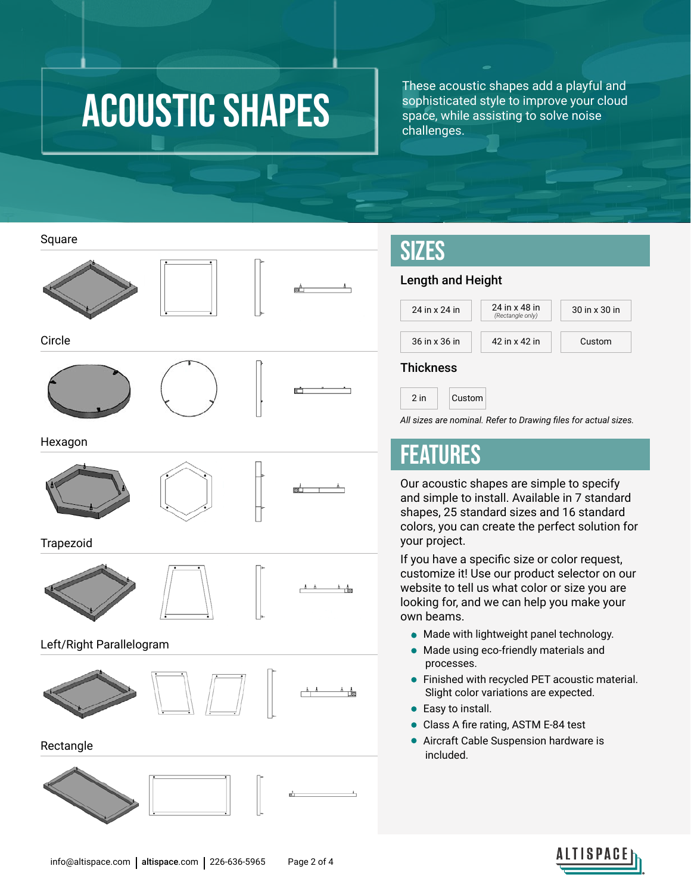## acoustic SHAPes

These acoustic shapes add a playful and sophisticated style to improve your cloud space, while assisting to solve noise challenges.

Square



Circle





Hexagon





ßÊ

 $A = A$   $A = A$ 

க் அ

Trapezoid





#### Left/Right Parallelogram



 $\frac{k}{k+1}$ 

Rectangle





### SIZES

#### Length and Height



#### **Thickness**

2 in Custom

*All sizes are nominal. Refer to Drawing files for actual sizes.*

### FEATURES

Our acoustic shapes are simple to specify and simple to install. Available in 7 standard shapes, 25 standard sizes and 16 standard colors, you can create the perfect solution for your project.

If you have a specific size or color request, customize it! Use our product selector on our website to tell us what color or size you are looking for, and we can help you make your own beams.

- Made with lightweight panel technology.
- Made using eco-friendly materials and processes.
- Finished with recycled PET acoustic material. Slight color variations are expected.
- Easy to install.
- Class A fire rating, ASTM E-84 test
- Aircraft Cable Suspension hardware is included.

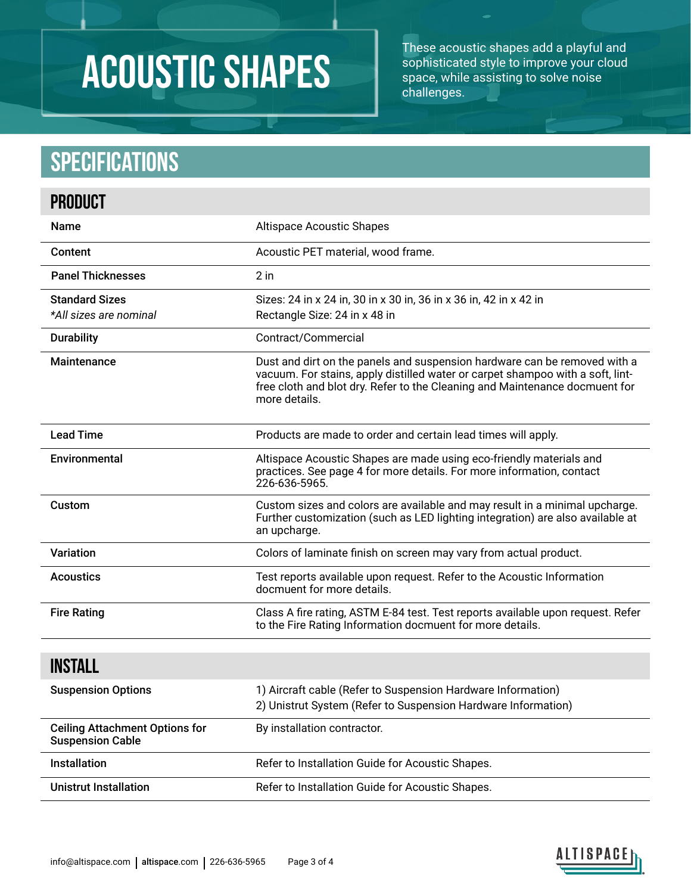# acoustic SHAPes

These acoustic shapes add a playful and sophisticated style to improve your cloud space, while assisting to solve noise challenges.

## **Specifications**

| <b>PRODUCT</b>                                                   |                                                                                                                                                                                                                                                             |  |  |
|------------------------------------------------------------------|-------------------------------------------------------------------------------------------------------------------------------------------------------------------------------------------------------------------------------------------------------------|--|--|
| <b>Name</b>                                                      | <b>Altispace Acoustic Shapes</b>                                                                                                                                                                                                                            |  |  |
| Content                                                          | Acoustic PET material, wood frame.                                                                                                                                                                                                                          |  |  |
| <b>Panel Thicknesses</b>                                         | $2$ in                                                                                                                                                                                                                                                      |  |  |
| <b>Standard Sizes</b><br>*All sizes are nominal                  | Sizes: 24 in x 24 in, 30 in x 30 in, 36 in x 36 in, 42 in x 42 in<br>Rectangle Size: 24 in x 48 in                                                                                                                                                          |  |  |
| <b>Durability</b>                                                | Contract/Commercial                                                                                                                                                                                                                                         |  |  |
| Maintenance                                                      | Dust and dirt on the panels and suspension hardware can be removed with a<br>vacuum. For stains, apply distilled water or carpet shampoo with a soft, lint-<br>free cloth and blot dry. Refer to the Cleaning and Maintenance docmuent for<br>more details. |  |  |
| <b>Lead Time</b>                                                 | Products are made to order and certain lead times will apply.                                                                                                                                                                                               |  |  |
| Environmental                                                    | Altispace Acoustic Shapes are made using eco-friendly materials and<br>practices. See page 4 for more details. For more information, contact<br>226-636-5965.                                                                                               |  |  |
| Custom                                                           | Custom sizes and colors are available and may result in a minimal upcharge.<br>Further customization (such as LED lighting integration) are also available at<br>an upcharge.                                                                               |  |  |
| Variation                                                        | Colors of laminate finish on screen may vary from actual product.                                                                                                                                                                                           |  |  |
| <b>Acoustics</b>                                                 | Test reports available upon request. Refer to the Acoustic Information<br>docmuent for more details.                                                                                                                                                        |  |  |
| <b>Fire Rating</b>                                               | Class A fire rating, ASTM E-84 test. Test reports available upon request. Refer<br>to the Fire Rating Information docmuent for more details.                                                                                                                |  |  |
| <b>INSTALL</b>                                                   |                                                                                                                                                                                                                                                             |  |  |
| <b>Suspension Options</b>                                        | 1) Aircraft cable (Refer to Suspension Hardware Information)<br>2) Unistrut System (Refer to Suspension Hardware Information)                                                                                                                               |  |  |
| <b>Ceiling Attachment Options for</b><br><b>Suspension Cable</b> | By installation contractor.                                                                                                                                                                                                                                 |  |  |
| Installation                                                     | Refer to Installation Guide for Acoustic Shapes.                                                                                                                                                                                                            |  |  |
| <b>Unistrut Installation</b>                                     | Refer to Installation Guide for Acoustic Shapes.                                                                                                                                                                                                            |  |  |